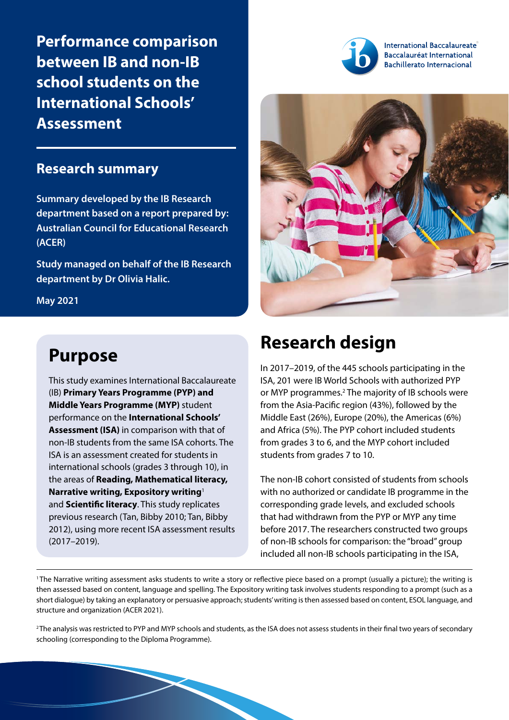**Performance comparison between IB and non-IB school students on the International Schools' Assessment**

## **Research summary**

**Summary developed by the IB Research department based on a report prepared by: Australian Council for Educational Research (ACER)**

**Study managed on behalf of the IB Research department by Dr Olivia Halic.**

**May 2021**

# **Purpose**

This study examines International Baccalaureate (IB) **Primary Years Programme (PYP) and Middle Years Programme (MYP)** student performance on the **International Schools' Assessment (ISA)** in comparison with that of non-IB students from the same ISA cohorts. The ISA is an assessment created for students in international schools (grades 3 through 10), in the areas of **Reading, Mathematical literacy, Narrative writing, Expository writing**<sup>1</sup> and **Scientific literacy**. This study replicates previous research (Tan, Bibby 2010; Tan, Bibby 2012), using more recent ISA assessment results (2017–2019).



International Baccalaureate® Baccalauréat International **Bachillerato Internacional** 



# **Research design**

In 2017–2019, of the 445 schools participating in the ISA, 201 were IB World Schools with authorized PYP or MYP programmes.<sup>2</sup> The majority of IB schools were from the Asia-Pacific region (43%), followed by the Middle East (26%), Europe (20%), the Americas (6%) and Africa (5%). The PYP cohort included students from grades 3 to 6, and the MYP cohort included students from grades 7 to 10.

The non-IB cohort consisted of students from schools with no authorized or candidate IB programme in the corresponding grade levels, and excluded schools that had withdrawn from the PYP or MYP any time before 2017. The researchers constructed two groups of non-IB schools for comparison: the "broad" group included all non-IB schools participating in the ISA,

<sup>1</sup>The Narrative writing assessment asks students to write a story or reflective piece based on a prompt (usually a picture); the writing is then assessed based on content, language and spelling. The Expository writing task involves students responding to a prompt (such as a short dialogue) by taking an explanatory or persuasive approach; students' writing is then assessed based on content, ESOL language, and structure and organization (ACER 2021).

<sup>2</sup>The analysis was restricted to PYP and MYP schools and students, as the ISA does not assess students in their final two years of secondary schooling (corresponding to the Diploma Programme).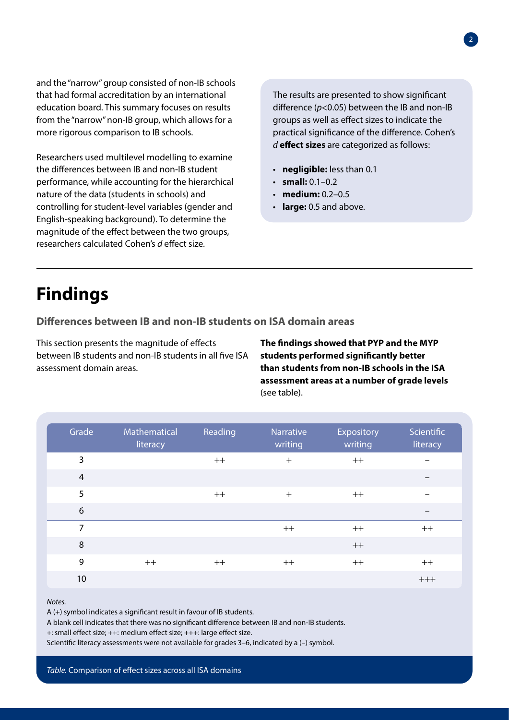and the "narrow" group consisted of non-IB schools that had formal accreditation by an international education board. This summary focuses on results from the "narrow" non-IB group, which allows for a more rigorous comparison to IB schools.

Researchers used multilevel modelling to examine the differences between IB and non-IB student performance, while accounting for the hierarchical nature of the data (students in schools) and controlling for student-level variables (gender and English-speaking background). To determine the magnitude of the effect between the two groups, researchers calculated Cohen's *d* effect size.

The results are presented to show significant difference (*p*<0.05) between the IB and non-IB groups as well as effect sizes to indicate the practical significance of the difference. Cohen's *d* **effect sizes** are categorized as follows:

- **negligible:** less than 0.1
- **small:** 0.1–0.2
- **medium:** 0.2–0.5
- **large:** 0.5 and above.

# **Findings**

### **Differences between IB and non-IB students on ISA domain areas**

This section presents the magnitude of effects between IB students and non-IB students in all five ISA assessment domain areas.

**The findings showed that PYP and the MYP students performed significantly better than students from non-IB schools in the ISA assessment areas at a number of grade levels** (see table).

| Grade          | Mathematical<br>literacy | Reading | Narrative<br>writing | Expository<br>writing | Scientific<br>literacy |
|----------------|--------------------------|---------|----------------------|-----------------------|------------------------|
| $\mathbf{3}$   |                          | $++$    | $+$                  | $++$                  | —                      |
| $\overline{4}$ |                          |         |                      |                       |                        |
| 5              |                          | $++$    | $+$                  | $++$                  |                        |
| 6              |                          |         |                      |                       |                        |
| $\overline{7}$ |                          |         | $++$                 | $++$                  | $++$                   |
| 8              |                          |         |                      | $++$                  |                        |
| 9              | $++$                     | $++$    | $++$                 | $++$                  | $++$                   |
| 10             |                          |         |                      |                       | $+++$                  |

#### *Notes.*

A (+) symbol indicates a significant result in favour of IB students.

A blank cell indicates that there was no significant difference between IB and non-IB students.

+: small effect size; ++: medium effect size; +++: large effect size.

Scientific literacy assessments were not available for grades 3–6, indicated by a (–) symbol.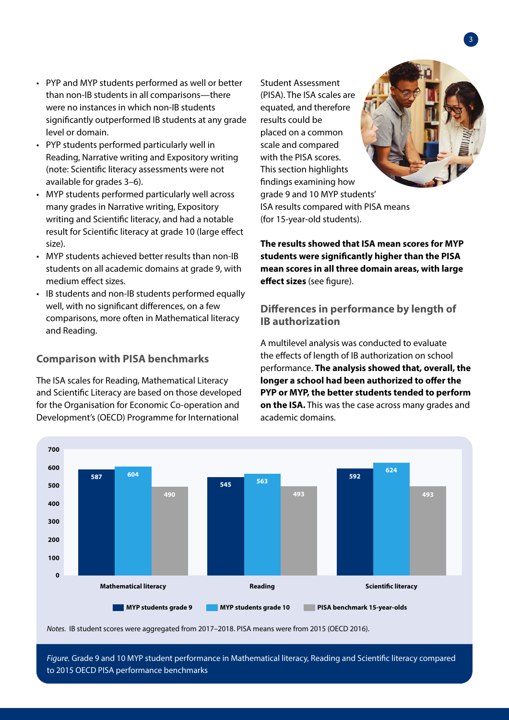- PYP and MYP students performed as well or better than non-IB students in all comparisons—there were no instances in which non-IB students significantly outperformed IB students at any grade level or domain.
- PYP students performed particularly well in Reading, Narrative writing and Expository writing (note: Scientific literacy assessments were not available for grades 3–6).
- MYP students performed particularly well across many grades in Narrative writing, Expository writing and Scientific literacy, and had a notable result for Scientific literacy at grade 10 (large effect size).
- MYP students achieved better results than non-IB students on all academic domains at grade 9, with medium effect sizes.
- IB students and non-IB students performed equally well, with no significant differences, on a few comparisons, more often in Mathematical literacy and Reading.

### **Comparison with PISA benchmarks**

The ISA scales for Reading, Mathematical Literacy and Scientific Literacy are based on those developed for the Organisation for Economic Co-operation and Development's (OECD) Programme for International

(PISA). The ISA scales are equated, and therefore results could be placed on a common scale and compared with the PISA scores. This section highlights findings examining how grade 9 and 10 MYP students' ISA results compared with PISA means (for 15-year-old students).

Student Assessment

**The results showed that ISA mean scores for MYP students were significantly higher than the PISA mean scores in all three domain areas, with large effect sizes** (see figure).

### **Differences in performance by length of IB authorization**

A multilevel analysis was conducted to evaluate the effects of length of IB authorization on school performance. **The analysis showed that, overall, the longer a school had been authorized to offer the PYP or MYP, the better students tended to perform on the ISA.** This was the case across many grades and academic domains.



*Notes.* IB student scores were aggregated from 2017–2018. PISA means were from 2015 (OECD 2016).

*Figure.* Grade 9 and 10 MYP student performance in Mathematical literacy, Reading and Scientific literacy compared to 2015 OECD PISA performance benchmarks